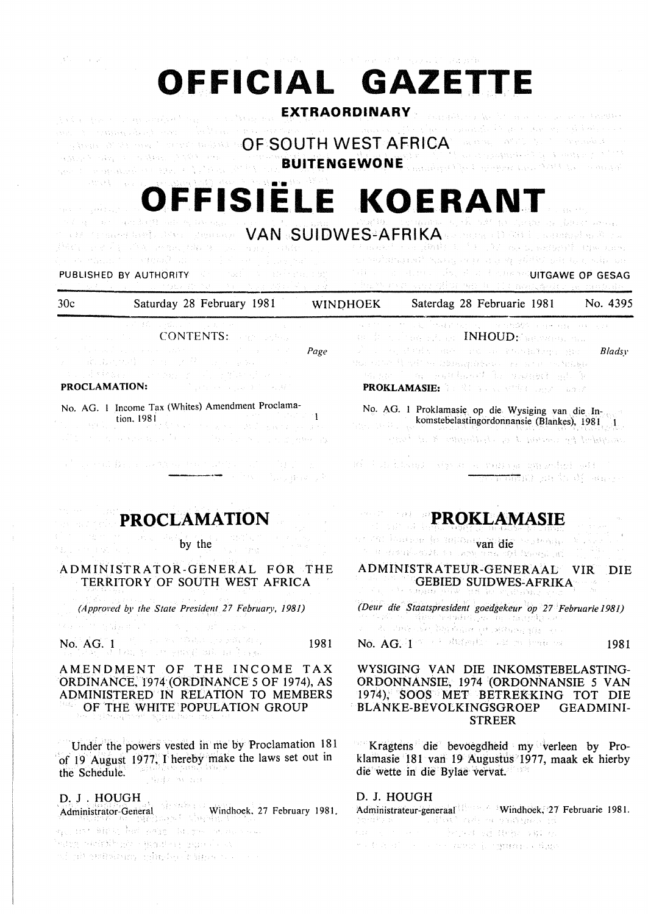| ijalis (m. 1874)           | OFFICIAL GAZETTE                                                                                                                                                                                                                                                                                                                                                                                                                                                                                                                                                                      |      | in the product of a chair and speak there are |                                                                                                                                                                                                                                                                                                                                                                                                                                                                                          |                                                                                       |
|----------------------------|---------------------------------------------------------------------------------------------------------------------------------------------------------------------------------------------------------------------------------------------------------------------------------------------------------------------------------------------------------------------------------------------------------------------------------------------------------------------------------------------------------------------------------------------------------------------------------------|------|-----------------------------------------------|------------------------------------------------------------------------------------------------------------------------------------------------------------------------------------------------------------------------------------------------------------------------------------------------------------------------------------------------------------------------------------------------------------------------------------------------------------------------------------------|---------------------------------------------------------------------------------------|
|                            | <b>EXTRAORDINARY</b><br>res sinclear provides to a construction of a source of the second section of the second and published and security of the<br>$\sim$ symmetry and the construction of $\mathsf{OP}$ SOUTH WEST AFRICA theorem, and the theorem of $\mathbb{R}^n$<br>And the second of the problems of the second second second second second second second second second second second<br>$\mathcal{N}(M) = \{ \mathbf{u}_1, \mathbf{v}_2, \ldots, \mathbf{v}_n \} \cup \{ \mathbf{u}_1, \mathbf{v}_2, \ldots, \mathbf{v}_n \} \cup \{ \mathbf{u}_n, \mathbf{v}_n \}$          |      |                                               | standard with a world was a seated                                                                                                                                                                                                                                                                                                                                                                                                                                                       |                                                                                       |
|                            | OFFISIELE KOERANT                                                                                                                                                                                                                                                                                                                                                                                                                                                                                                                                                                     |      |                                               |                                                                                                                                                                                                                                                                                                                                                                                                                                                                                          |                                                                                       |
|                            | , which are not denoted into by the sign of $VAN$ . $SUIDWES^2AFRIKA$ is the distinction of $\mathbb R$ with the distribution of $\mathbb R$ and $\mathbb R$<br>iteli se 27 i 1941 se na jiha je soslovno sluke s je se se te mokster na <b>ji</b> telite. Te s te kasa mananja kao nao                                                                                                                                                                                                                                                                                               |      |                                               |                                                                                                                                                                                                                                                                                                                                                                                                                                                                                          |                                                                                       |
|                            | is a commutative constitution of the final matrix of the space of $\omega$<br><b>PUBLISHED BY AUTHORITY</b> AND INVESTIGATION IS NO<br>$\omega$ and a similar model constant in the second of $\omega$ is $\tilde{d}$                                                                                                                                                                                                                                                                                                                                                                 |      |                                               | ਾ ਪਾਰਸਾਂ ਆਨਮਾਨਾਂ ਨਿਸ਼ਨ, ਜਾਂਦਾ ਹੋ ਦਾਖੇ ਤਸਿੱਖੇ ਸ਼ਹਿਰ, ਨੱਖੇ, ਅਜ<br>THE CONTRACTOR CONTRACTOR OF GESAG<br>that we have the office we had it chose point an image de-                                                                                                                                                                                                                                                                                                                         |                                                                                       |
| 30c                        | Saturday 28 February 1981 WINDHOEK                                                                                                                                                                                                                                                                                                                                                                                                                                                                                                                                                    |      |                                               | Saterdag 28 Februarie 1981 No. 4395                                                                                                                                                                                                                                                                                                                                                                                                                                                      |                                                                                       |
|                            | <b>CONTENTS:</b> The CONTENTS: The Second State<br>$\sim 10^4$ and $\sim 10^4$ and $\sim 10^4$ and $\sim 10^4$ and $\sim 10^4$ and $\sim 10^4$ and $\sim 10^4$<br>五、 最高的内容 アオーズクール ときおうこう<br>${\color{blue}\textbf{PROCLAMATION:}} \begin{picture}(10,10) \put(0,0){\vector(0,1){100}} \put(0,0){\vector(0,1){100}} \put(0,0){\vector(0,1){100}} \put(0,0){\vector(0,1){100}} \put(0,0){\vector(0,1){100}} \put(0,0){\vector(0,1){100}} \put(0,0){\vector(0,1){100}} \put(0,0){\vector(0,1){100}} \put(0,0){\vector(0,1){100}} \put(0,0){\vector(0,1){100}} \put(0,0){\vector(0,1){1$ | Page |                                               | 人工的 医小叶 医电气性淋巴细胞 化二甲基化磷酸盐 经海损权 网络马拉克<br>19 March 1968 E.M. and <b>INHOUD:</b> September of L<br>of the same states and the control of the state of the state of the state of the state of the state of the state of the state of the state of the state of the state of the state of the state of the state of the state of th<br>More star if with a library above the artist tachingle<br>(Songe ) are published in varied advice<br><b>PROKLAMASIE:</b> And Manuscript Copyright 2007 | Bladsy                                                                                |
|                            | No. AG. 1 Income Tax (Whites) Amendment Proclama-<br>$\frac{1}{2}$ $\frac{1}{2}$ $\frac{1}{2}$ $\frac{1}{2}$ $\frac{1}{2}$ $\frac{1}{2}$ $\frac{1}{2}$ $\frac{1}{2}$ $\frac{1}{2}$ $\frac{1}{2}$ $\frac{1}{2}$ $\frac{1}{2}$ $\frac{1}{2}$ $\frac{1}{2}$ $\frac{1}{2}$ $\frac{1}{2}$ $\frac{1}{2}$ $\frac{1}{2}$ $\frac{1}{2}$ $\frac{1}{2}$ $\frac{1}{2}$ $\frac{1}{2}$<br>ality of the company of the complete state of the state of the complete of                                                                                                                                |      |                                               | No. AG. 1 Proklamasie op die Wysiging van die In-<br>komstebelastingordonnansie (Blankes), 1981<br>structured by content of an observation of the beach-                                                                                                                                                                                                                                                                                                                                 |                                                                                       |
|                            | $\label{eq:2.1} \begin{split} \mathcal{A}^{(1)}_{\mathcal{A}}(\mathcal{A})&=\mathcal{A}^{(1)}_{\mathcal{A}}(\mathcal{A})\oplus\mathcal{A}^{(2)}_{\mathcal{A}}(\mathcal{A})\oplus\mathcal{A}^{(3)}_{\mathcal{A}}(\mathcal{A})\oplus\mathcal{A}^{(4)}_{\mathcal{A}}(\mathcal{A})\oplus\mathcal{A}^{(5)}_{\mathcal{A}}(\mathcal{A})\oplus\mathcal{A}^{(6)}_{\mathcal{A}}(\mathcal{A})\oplus\mathcal{A}^{(6)}_{\mathcal{A}}(\mathcal{A})\oplus$                                                                                                                                           |      |                                               | an is a based agos a remay segundad set a<br><b>THE WINDER SEARCH SERVICE</b>                                                                                                                                                                                                                                                                                                                                                                                                            |                                                                                       |
|                            | <b>PROCLAMATION</b>                                                                                                                                                                                                                                                                                                                                                                                                                                                                                                                                                                   |      |                                               | <b>PROKLAMASIE</b>                                                                                                                                                                                                                                                                                                                                                                                                                                                                       | $\mathcal{O}(\mathcal{O}_{\mathbb{P}^1})$ , $\mathcal{O}(\mathcal{O}_{\mathbb{P}^1})$ |
| 이 4월 8세 - 8세<br>ほご スクチンのうち | by the $\mathbb{R}^{n \times n}$                                                                                                                                                                                                                                                                                                                                                                                                                                                                                                                                                      |      |                                               | or 201 Eastman in 1010aa van die 20ste aan<br>the house for her year of the standard at                                                                                                                                                                                                                                                                                                                                                                                                  |                                                                                       |
|                            | ADMINISTRATOR-GENERAL FOR THE<br>TERRITORY OF SOUTH WEST AFRICA                                                                                                                                                                                                                                                                                                                                                                                                                                                                                                                       |      |                                               | ADMINISTRATEUR-GENERAAL<br><b>GEBIED SUIDWES-AFRIKA</b><br>ਪਾਲਾ ਮੁਲਿਆ ਹੈ ਕਿ ਅਹੁਰੇਜ਼ੇਸ਼ਟ ਵਰਗ                                                                                                                                                                                                                                                                                                                                                                                              | VIR.<br>DIE                                                                           |
|                            | (Approved by the State President 27 February, 1981)                                                                                                                                                                                                                                                                                                                                                                                                                                                                                                                                   |      |                                               | (Deur die Staatspresident goedgekeur op 27 Februarie 1981)<br>strick als collection or dentrollen. The standard possible                                                                                                                                                                                                                                                                                                                                                                 |                                                                                       |
| No. AG. 1                  | 经现在的 医腹股沟 经预付的 医阿尔伯氏综合征<br>$\mathcal{L} = \{ \mathcal{L}_1, \ldots, \mathcal{L}_n, \mathcal{M}_n \in \mathcal{M} \} \mathcal{L}_1, \mathcal{L}_2, \mathcal{L}_3, \mathcal{M}_4, \mathcal{M}_5, \mathcal{L}_4 \}$<br>ATOMT Johan je ose gravijesta na ljuga.                                                                                                                                                                                                                                                                                                                           | 1981 |                                               | 4、一部、准确认此的事例 有品牌 医电调节组细胞的<br>No. AG. In the subspace of property of                                                                                                                                                                                                                                                                                                                                                                                                                      | 1981                                                                                  |
|                            | AMENDMENT OF THE INCOME TAX<br>ORDINANCE, 1974 (ORDINANCE 5 OF 1974), AS<br>ADMINISTERED IN RELATION TO MEMBERS<br>OF THE WHITE POPULATION GROUP<br>반에 그 경우에 가을 먹으려지 않았을 보도 하는데 그렸습니?                                                                                                                                                                                                                                                                                                                                                                                                 |      |                                               | WYSIGING VAN DIE INKOMSTEBELASTING-<br>ORDONNANSIE, 1974 (ORDONNANSIE 5 VAN<br>1974), SOOS MET BETREKKING TOT DIE<br>BLANKE-BEVOLKINGSGROEP<br><b>STREER</b>                                                                                                                                                                                                                                                                                                                             | <b>GEADMINI-</b>                                                                      |
|                            | Under the powers vested in me by Proclamation 181                                                                                                                                                                                                                                                                                                                                                                                                                                                                                                                                     |      |                                               | Kragtens die bevoegdheid my verleen by Pro-                                                                                                                                                                                                                                                                                                                                                                                                                                              |                                                                                       |

박은 Kragtens die bevoegdheid my verleen by Proklamasie 181 van 19 Augustus 1977, maak ek hierby die wette in die Bylae vervat. 16,896

'of 19 August 1977; I hereby make the laws set out in

the Schedule.

 $\sim$ 

D. J. HOUGH

indog masih siya wa dan aye da w

which and along minders happens are a

D. J. HOUGH<br>Administrateur-generaal vindhoek. 27 February 1981. **Administrateur-generaal Windhoek, 27 February 1981.** Administrateur-generaal Windhoek, 27 February 1981. Administrateur-generaal Windhoek, 27 February 1981. Administrateur-generaal Windhoek, 27 worth and compared company in a primary of their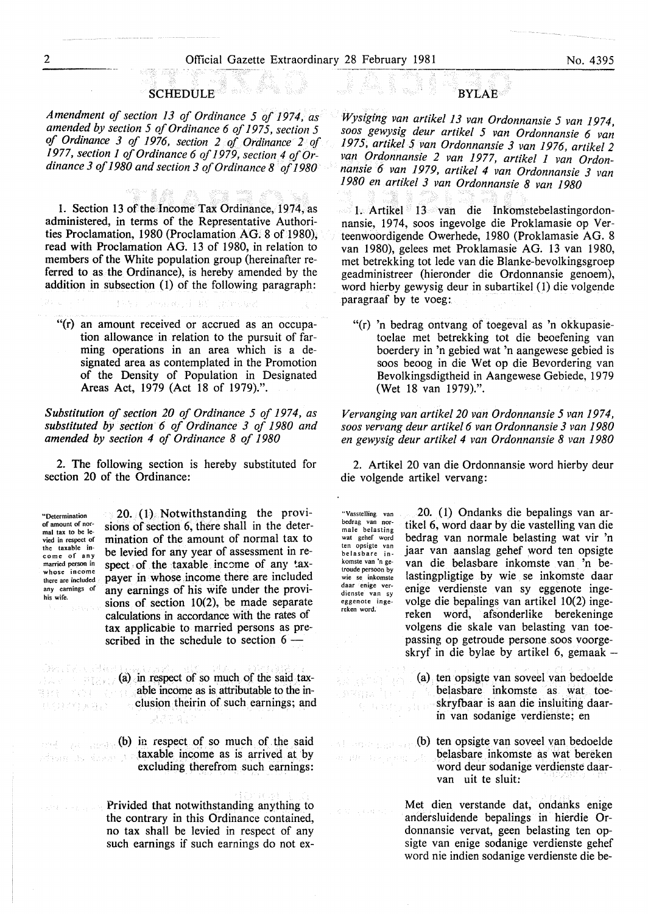## **SCHEDULE**

*Amendment of section 13 of Ordinance 5 of 1974, as amended by section 5 of Ordinance 6 of 1975, section 5 of Ordinance 3 of 1976, section 2 of Ordinance 2 of 1977, section 1 of Ordinance 6 of 1979, section 4 of Ordinance 3 of 1980 and section 3 of Ordinance 8 ·of 1980* 

1. Section 13 of the Income Tax Ordinance, 1974, as administered, in terms of the Representative Authorities Proclamation, 1980 (Proclamation AG. 8 of 1980), read with Proclamation AG. 13 of 1980, in relation to members of the White population group (hereinafter referred to as the Ordinance), is hereby amended by the addition in subsection  $(1)$  of the following paragraph:

a Lwist to

"(r) an amount received or accrued as an occupation allowance in relation to the pursuit of farming operations in an area which is a designated area as contemplated in the Promotion of the Density of Population in Designated Areas Act, 1979 (Act 18 of 1979).".

*Substitution of section 20 of Ordinance 5 of 1974, as substituted by section· 6 of Ordinance 3 of 1980 and amended by section 4 of Ordinance 8 of 1980* 

2. The following section is hereby substituted for section 20 of the Ordinance:

**.. Determination of amount of nor**mal tax to be levied in respect of the taxable in**come of any**  married person in **whose income**  there are included **any earnings of**  his wife.

 $\mathcal{P}^{\text{c}}_{\text{A}}\mathcal{O}^{\text{c}}_{\text{A}}$ 

机())/\*行程器

スコとす

20. (1). Notwithstanding the provisions of section 6, there shall in the determination of the amount of normal tax to be levied for any year of assessment in respect of the taxable income of any taxpayer in whose income there are included any earnings of his wife under the provisions of section 10(2), be made separate calculations in accordance with the rates of tax applicabie to married persons as prescribed in the schedule to section  $6 -$ 

 $(a)$  in respect of so much of the said taxable income as is attributable to the in-一点 clusion theirin of such earnings; and

**(b)** in respect of so much of the said taxable income as is arrived at by Andrew at anyth excluding therefrom such earnings:

> Privided that notwithstanding anything to the contrary in this Ordinance contained, no tax shall be levied in respect of any such earnings if such earnings do not ex-

*Wysiging van artike/13 van Ordonnansie 5 van 1974, soos gewysig deur artikel 5 van Ordonnansie 6 van 1975, artikel 5 van Ordonnansie 3 van 1976, artikel 2 van Ordonnansie 2 van 1977, artikel 1 van Ordonnansie 6 van 1979, artikel 4 van Ordonnansie 3 van 1980 en artikel 3 van Ordonnansie 8 van 1980* 

**BYLAE** 

 $\mathcal{R}(\mathcal{G})$ 

1. Artikel 13 van die Inkomstebelastingordonnansie, 1974, soos ingevolge die Proklamasie op Verteenwoordigende Owerhede, 1980 (Proklamasie AG. 8 van 1980), gelees met Proklamasie AG. 13 van 1980, met betrekking tot lede van die Blanke-bevolkingsgroep geadministreer (hieronder die Ordonnansie genoem), word hierby gewysig deur in subartikel (I) die volgende paragraaf by te voeg:

"(r) 'n bedrag ontvang of toegeval as 'n okkupasietoelae met betrekking tot die beoefening van boerdery in 'n gebied wat 'n aangewese gebied is soos beoog in die Wet op die Bevordering van Bevolkingsdigtheid in Aangewese Gebiede, 1979 (Wet 18 van 1979).".

*Vervanging van artike/20 van Ordonnansie 5 van 1974, soos vervang deur artike/6 van Ordonnansie 3 van 1980 en gewysig deur artikel 4 van Ordonnansie 8 van 1980* 

2. Artikel 20 van die Ordonnansie word hierby deur die volgende artikel vervang:

"Vasstelling van **bedrag van nor-**male belasting wat gehef word ten opsigte van **belasbare inkomste van "n ge**troude persoon by **wie se inkomste daar enige verdienste van sy**  eggenote ingereken word.

an BR Steel

20. (I) Ondanks die bepalings van artikel 6, word daar by die vastelling van die bedrag van normale belasting wat vir 'n jaar van aanslag gehef word ten opsigte van die belasbare inkomste van 'n belastingpligtige by wie se inkomste daar enige verdienste van sy eggenote ingevolge die bepalings van artikel 10(2) ingereken word, afsonderlike berekeninge volgens die skale van belasting van toepassing op getroude persone soos voorgeskryf in die bylae by artikel 6, gemaak-

- (a) ten opsigte van soveel van bedoelde belasbare inkomste as wat toeskryibaar is aan die insluiting daarin van sodanige verdienste; en
- (b) ten opsigte van soveel van bedoelde belasbare inkomste as wat bereken word deur sodanige verdienste daarvan uit te sluit:

Met dien verstande dat, ondahks enige andersluidende bepalings in hierdie Ordonnansie vervat, geen belasting ten opsigte van enige sodanige verdienste gehef word nie indien sodanige verdienste die be-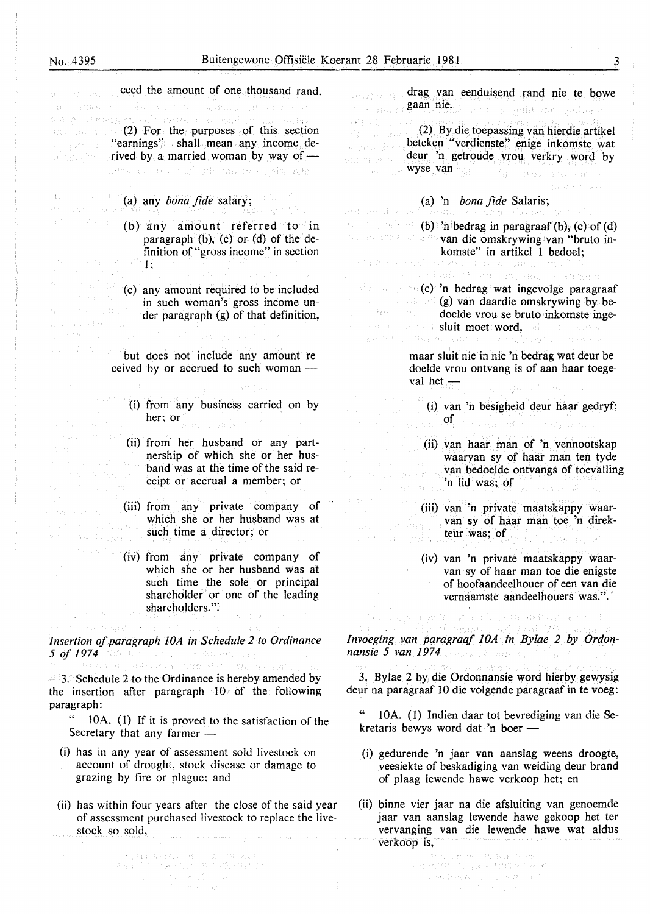ingsa jutkaa president

alis Difference al

ceed the amount of one thousand rand. drag van eenduisend rand nie te bowe Garaghty (the gaan nie. an et diveksa soldin la romana silonologi ette vario kore i adi u gobiyec subeye  $\mathbb{R}^{d_1}$  for the purposes of this section  $(2)$  For the purposes of this section wan aka jira y (2) By die toepassing van hierdie artikel Editorii San "earnings" shall mean any income debeteken "verdienste" enige inkomste wat .<br>Geboren arabi rived by a married woman by way of deur 'n getroude vrou verkry word by s.<br>Santa storia wyse van <sub>200</sub>0 - 2000 - 2000 -<br>Wyse van <sub>2000 -</sub> 2000 - 3000 - 2000 - 2000 (a) any *bona fide* salary; (a) 'n *bona fide* Salaris; ลพิก (พิธีกษุโรกชิ PRESENTATION CALL (b) any amount referred to in **be the paragraaf (b), (c) of (d)**  $\text{ch}$  bedrag in paragraaf (b), (c) of (d) van die omskrywing van "bruto inparagraph (b), (c) or (d) of the definition of "gross income" in section **komste" in artikel 1 bedoel;**<br> $k \geq 0$  is table of above the decay function  $\{0, i\}$  (i.e., Contactory Court  $\mathbf{1}$ ; The Barriston do as  $g \sim (c)$  'n bedrag wat ingevolge paragraaf (c) any amount required to be included (g) van daardie omskrywing by bein such woman's gross income undoelde vrou se bruto inkomste ingeder paragraph (g) of that definition, sluit moet word, of a laster ran kilosof รณุโดยวังวัย : : Distance **SAMPLE REA** but does not include any amount remaar sluit nie in nie 'n bedrag wat deur bedoelde vrou ontvang is of aan haar toegeceived by or accrued to such woman  $$ val heten gallant ukoan (i) from any business carried on by (i) van 'n besigheid deur haar gedryf;  $\sigma_{\rm s}$  of the maximum construction her; or (ii) from her husband or any part-(ii) van haar man of 'n vennootskap nership of which she or her huswaarvan sy of haar man ten tyde band was at the time of the said revan bedoelde ontvangs of toevalling ceipt or accrual a member; or 'n lid was; of San Filma (iii) from any private company of (iii) van 'n private maatskappy waarsupport the company which she or her husband was at van sy of haar man toe 'n direk-**3. THE SUMPER** such time a director; or teur was; of  $\mathcal{O}(\mathcal{G} \cup \{ \mathcal{V}_{\mathcal{P} \cup \mathcal{S}} \otimes \mathcal{S} \})$ ste an speaker (iv) from any private company of (iv) van 'n private maatskappy waarwhich she or her husband was at van sy of haar man toe die enigste such time the sole or principal of hoofaandeelhouer of een van die shareholder or one of the leading vernaamste aandeelhouers was.". shareholders.": katalog politiko iga sel hada akan antikalis sam *lnvoeging van paragraaf lOA in Bylae 2 by Ordon-***Insertion of paragraph 10A in Schedule 2 to Ordinance** *nansie 5 van 1974 5 of 1974* and use as <sub>which</sub> specifically an<br>the constraint publication in an exception of the con-3. Bylae 2 by die Ordonnansie word hierby gewysig  $3.$  Schedule 2 to the Ordinance is hereby amended by deur na paragraaf 10 die volgende paragraaf in te voeg: the insertion after paragraph 10 of the following paragraph: 10A. (1) Indien daar tot bevrediging van die Se-" 10A. (1) If it is proved to the satisfaction of the kretaris bewys word dat 'n boer -Secretary that any farmer  $-$ 

(i) has in any year of assessment sold livestock on account of drought, stock disease or damage to

(ii) has within four years after the close of the said year of assessment purchased livestock to replace the live-

 $\begin{array}{l} \mathcal{P}^{\mu\nu}_{\nu\sigma} \mathcal{P}^{\mu\nu}_{\nu} \mathcal{P}^{\nu}_{\nu} \mathcal{P}^{\nu}_{\nu} \mathcal{P}^{\nu}_{\nu} = \mathcal{P}^{\mu\nu}_{\nu\sigma} \mathcal{P}^{\mu\nu}_{\nu} \mathcal{P}^{\nu}_{\nu} \\ \mathcal{P}^{\mu\nu}_{\nu} \mathcal{P}^{\mu\nu}_{\nu} \mathcal{P}^{\nu}_{\nu} = \mathcal{P}^{\mu\nu}_{\nu} \mathcal{P}^{\nu}_{\nu} \mathcal{P}^{\nu}_{\nu} \mathcal{P}^{\nu}_{$ 

grazing by fire or plague; and

stock so sold,

- (i) gedurende 'n jaar van aanslag weens droogte, veesiekte of beskadiging van weiding deur brand of plaag lewende hawe verkoop het; en
- (ii) binne vier jaar na die afsluiting van genoemde jaar van aanslag lewende hawe gekoop het ter vervanging van die lewende hawe wat aldus verkoop is,

aregular the real product  $\pi \otimes \pi / \mathcal{W}$  of  $\mu \boxtimes \pi \otimes \pi \boxtimes \mathcal{W}$  and  $\left\langle \frac{1}{2} \left( \frac{d}{d} \frac{d}{d} \right) \frac{d}{d} \right\rangle = \frac{1}{2} \left( \frac{d}{d} \right) \left( \frac{d}{d} \right) \left( \frac{d}{d} \right)^2$